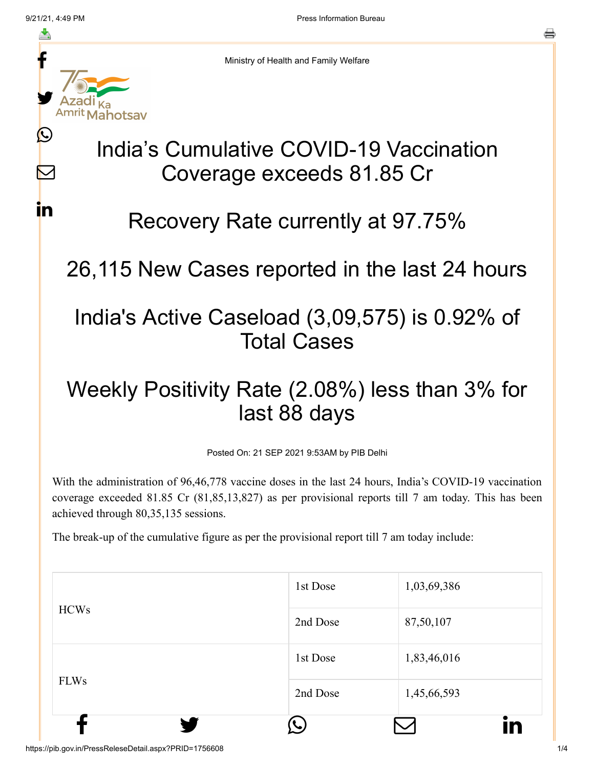M

**i**n



Ministry of Health and Family Welfare

## India's Cumulative COVID-19 Vaccination Coverage exceeds 81.85 Cr

## Recovery Rate currently at 97.75%

26,115 New Cases reported in the last 24 hours

## India's Active Caseload (3,09,575) is 0.92% of Total Cases

## Weekly Positivity Rate (2.08%) less than 3% for last 88 days

Posted On: 21 SEP 2021 9:53AM by PIB Delhi

With the administration of 96,46,778 vaccine doses in the last 24 hours, India's COVID-19 vaccination coverage exceeded 81.85 Cr (81,85,13,827) as per provisional reports till 7 am today. This has been achieved through 80,35,135 sessions.

The break-up of the cumulative figure as per the provisional report till 7 am today include:

| <b>HCWs</b><br><b>FLWs</b> | 1st Dose<br>2nd Dose | 1,03,69,386<br>87,50,107 |
|----------------------------|----------------------|--------------------------|
|                            | 1st Dose             | 1,83,46,016              |
|                            | 2nd Dose             | 1,45,66,593              |
|                            |                      | in                       |

https://pib.gov.in/PressReleseDetail.aspx?PRID=1756608 1/4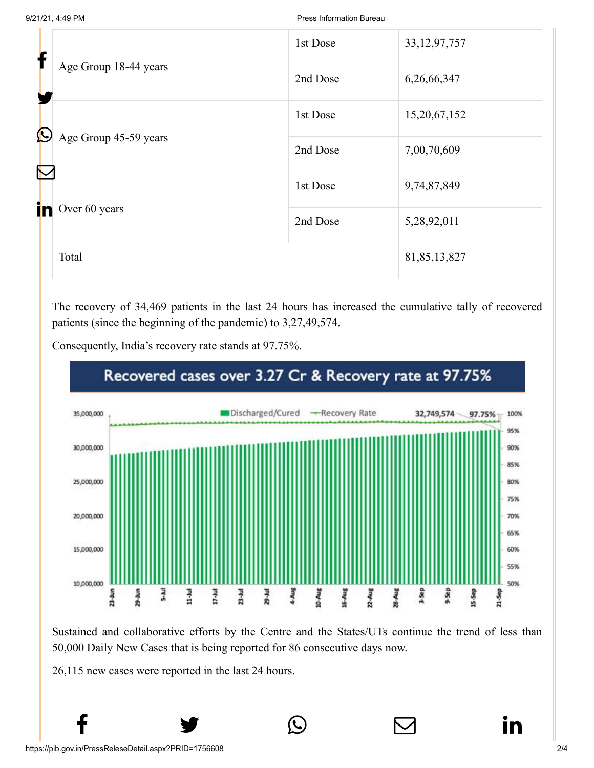| f          | Age Group 18-44 years             | 1st Dose | 33, 12, 97, 757 |
|------------|-----------------------------------|----------|-----------------|
|            |                                   | 2nd Dose | 6,26,66,347     |
| $\bigcirc$ |                                   | 1st Dose | 15,20,67,152    |
|            | Age Group 45-59 years<br>$\nabla$ | 2nd Dose | 7,00,70,609     |
|            |                                   | 1st Dose | 9,74,87,849     |
| in         | Over 60 years                     | 2nd Dose | 5,28,92,011     |
|            | Total                             |          | 81,85,13,827    |

The recovery of 34,469 patients in the last 24 hours has increased the cumulative tally of recovered patients (since the beginning of the pandemic) to 3,27,49,574.



Consequently, India's recovery rate stands at 97.75%.

Sustained and collaborative efforts by the Centre and the States/UTs continue the trend of less than 50,000 Daily New Cases that is being reported for 86 consecutive days now.

 $f$   $\rightarrow$   $\circ$   $\quad \circ$  in

26,115 new cases were reported in the last 24 hours.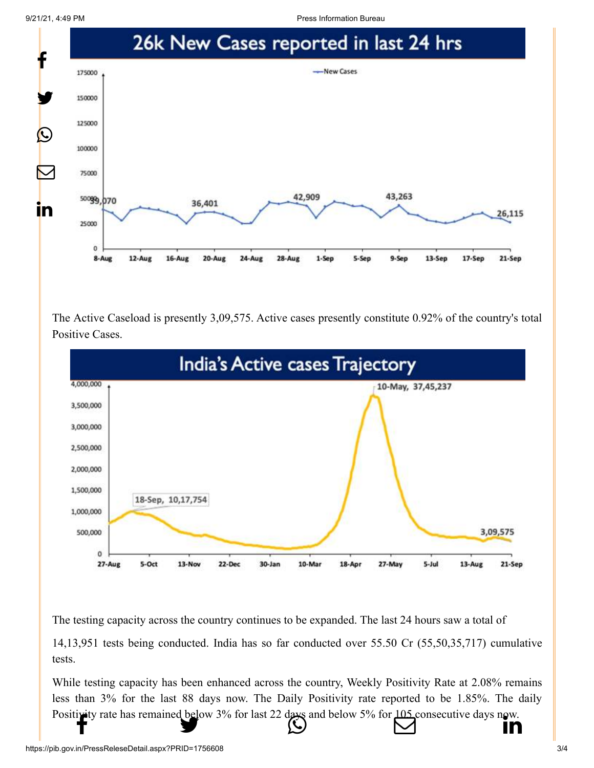9/21/21, 4:49 PM Press Information Bureau Company Press Information Bureau Press Information Bureau



The Active Caseload is presently 3,09,575. Active cases presently constitute 0.92% of the country's total Positive Cases.



The testing capacity across the country continues to be expanded. The last 24 hours saw a total of

14,13,951 tests being conducted. India has so far conducted over 55.50 Cr (55,50,35,717) cumulative tests.

While testing capacity has been enhanced across the country, Weekly Positivity Rate at 2.08% remains less than 3% for the last 88 days now. The Daily Positivity rate reported to be 1.85%. The daily [Positivity rate has](http://www.facebook.com/share.php?u=https://pib.gov.in/PressReleasePage.aspx?PRID=1756608) [remained below 3% fo](https://twitter.com/intent/tweet?url=https://pib.gov.in/PressReleasePage.aspx?PRID=1756608&text=India%E2%80%99s%20Cumulative%20COVID-19%20Vaccination%20Coverage%20exceeds%2081.85%20Cr)[r last 22 days and belo](https://api.whatsapp.com/send?text=https://pib.gov.in/PressReleasePage.aspx?PRID=1756608)w 5% for  $\frac{105}{100}$  consecuti[ve days now.](https://www.linkedin.com/shareArticle?mini=true&url=https://pib.gov.in/PressReleasePage.aspx?PRID=1756608&title=India%E2%80%99s%20Cumulative%20COVID-19%20Vaccination%20Coverage%20exceeds%2081.85%20Cr&summary=My%20favorite%20developer%20program&source=LinkedIn)